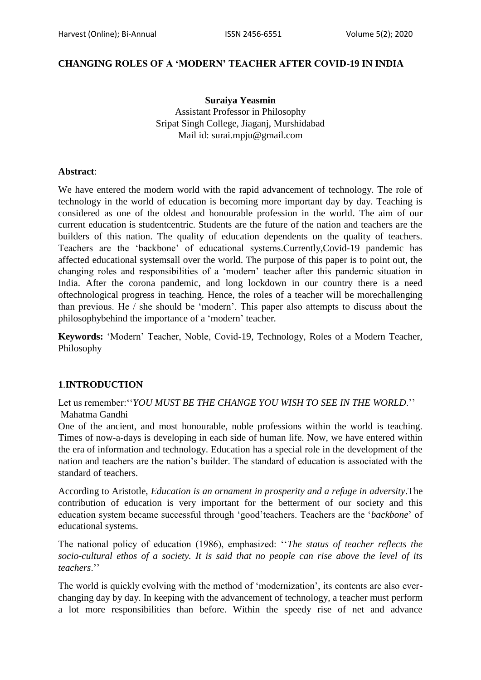### **CHANGING ROLES OF A 'MODERN' TEACHER AFTER COVID-19 IN INDIA**

**Suraiya Yeasmin** Assistant Professor in Philosophy Sripat Singh College, Jiaganj, Murshidabad Mail id: surai.mpju@gmail.com

#### **Abstract**:

We have entered the modern world with the rapid advancement of technology. The role of technology in the world of education is becoming more important day by day. Teaching is considered as one of the oldest and honourable profession in the world. The aim of our current education is studentcentric. Students are the future of the nation and teachers are the builders of this nation. The quality of education dependents on the quality of teachers. Teachers are the "backbone" of educational systems.Currently,Covid-19 pandemic has affected educational systemsall over the world. The purpose of this paper is to point out, the changing roles and responsibilities of a "modern" teacher after this pandemic situation in India. After the corona pandemic, and long lockdown in our country there is a need oftechnological progress in teaching. Hence, the roles of a teacher will be morechallenging than previous. He / she should be "modern". This paper also attempts to discuss about the philosophybehind the importance of a "modern" teacher*.*

**Keywords:** "Modern" Teacher, Noble, Covid-19, Technology, Roles of a Modern Teacher, Philosophy

### **1**.**INTRODUCTION**

Let us remember: "*YOU MUST BE THE CHANGE YOU WISH TO SEE IN THE WORLD*." Mahatma Gandhi

One of the ancient, and most honourable, noble professions within the world is teaching. Times of now-a-days is developing in each side of human life. Now, we have entered within the era of information and technology. Education has a special role in the development of the nation and teachers are the nation"s builder. The standard of education is associated with the standard of teachers.

According to Aristotle, *Education is an ornament in prosperity and a refuge in adversity*.The contribution of education is very important for the betterment of our society and this education system became successful through "good"teachers. Teachers are the "*backbone*" of educational systems.

The national policy of education (1986), emphasized: ""*The status of teacher reflects the socio-cultural ethos of a society. It is said that no people can rise above the level of its teachers*.""

The world is quickly evolving with the method of "modernization", its contents are also everchanging day by day. In keeping with the advancement of technology, a teacher must perform a lot more responsibilities than before. Within the speedy rise of net and advance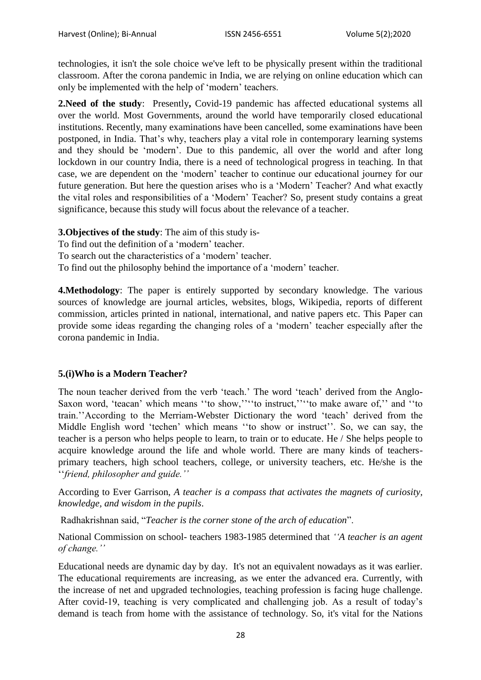technologies, it isn't the sole choice we've left to be physically present within the traditional classroom. After the corona pandemic in India, we are relying on online education which can only be implemented with the help of "modern" teachers.

**2.Need of the study**: Presently**,** Covid-19 pandemic has affected educational systems all over the world. Most Governments, around the world have temporarily closed educational institutions. Recently, many examinations have been cancelled, some examinations have been postponed, in India. That"s why, teachers play a vital role in contemporary learning systems and they should be "modern". Due to this pandemic, all over the world and after long lockdown in our country India, there is a need of technological progress in teaching. In that case, we are dependent on the "modern" teacher to continue our educational journey for our future generation. But here the question arises who is a "Modern" Teacher? And what exactly the vital roles and responsibilities of a "Modern" Teacher? So, present study contains a great significance, because this study will focus about the relevance of a teacher.

**3.Objectives of the study**: The aim of this study is-

To find out the definition of a "modern" teacher.

To search out the characteristics of a 'modern' teacher.

To find out the philosophy behind the importance of a "modern" teacher.

**4.Methodology**: The paper is entirely supported by secondary knowledge. The various sources of knowledge are journal articles, websites, blogs, Wikipedia, reports of different commission, articles printed in national, international, and native papers etc. This Paper can provide some ideas regarding the changing roles of a "modern" teacher especially after the corona pandemic in India.

# **5.(i)Who is a Modern Teacher?**

The noun teacher derived from the verb 'teach.' The word 'teach' derived from the Anglo-Saxon word, 'teacan' which means "to show,"" to instruct," "to make aware of," and "to train.""According to the Merriam-Webster Dictionary the word "teach" derived from the Middle English word 'techen' which means "to show or instruct". So, we can say, the teacher is a person who helps people to learn, to train or to educate. He / She helps people to acquire knowledge around the life and whole world. There are many kinds of teachersprimary teachers, high school teachers, college, or university teachers, etc. He/she is the ""*friend, philosopher and guide.''*

According to Ever Garrison, *A teacher is a compass that activates the magnets of curiosity, knowledge, and wisdom in the pupils*.

Radhakrishnan said, "*Teacher is the corner stone of the arch of education*".

National Commission on school- teachers 1983-1985 determined that *''A teacher is an agent of change.''*

Educational needs are dynamic day by day. It's not an equivalent nowadays as it was earlier. The educational requirements are increasing, as we enter the advanced era. Currently, with the increase of net and upgraded technologies, teaching profession is facing huge challenge. After covid-19, teaching is very complicated and challenging job. As a result of today"s demand is teach from home with the assistance of technology. So, it's vital for the Nations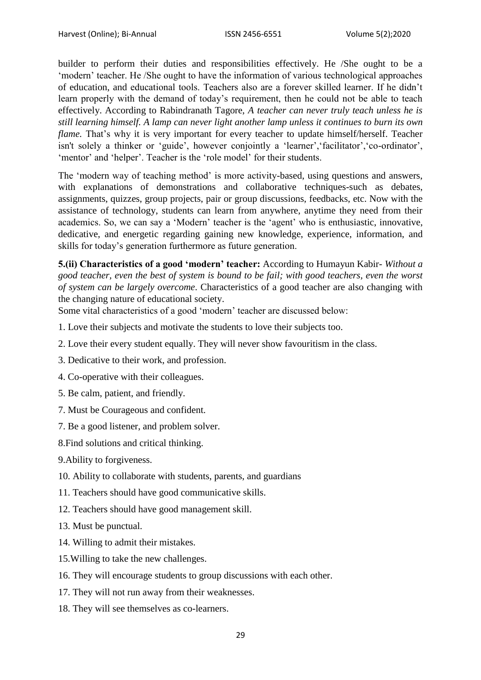builder to perform their duties and responsibilities effectively. He /She ought to be a 'modern' teacher. He /She ought to have the information of various technological approaches of education, and educational tools. Teachers also are a forever skilled learner. If he didn"t learn properly with the demand of today"s requirement, then he could not be able to teach effectively. According to Rabindranath Tagore, *A teacher can never truly teach unless he is still learning himself. A lamp can never light another lamp unless it continues to burn its own flame.* That's why it is very important for every teacher to update himself/herself. Teacher isn't solely a thinker or 'guide', however conjointly a 'learner', 'facilitator', 'co-ordinator', "mentor" and "helper". Teacher is the "role model" for their students.

The "modern way of teaching method" is more activity-based, using questions and answers, with explanations of demonstrations and collaborative techniques-such as debates, assignments, quizzes, group projects, pair or group discussions, feedbacks, etc. Now with the assistance of technology, students can learn from anywhere, anytime they need from their academics. So, we can say a "Modern" teacher is the "agent" who is enthusiastic, innovative, dedicative, and energetic regarding gaining new knowledge, experience, information, and skills for today"s generation furthermore as future generation.

**5.(ii) Characteristics of a good 'modern' teacher:** According to Humayun Kabir- *Without a good teacher, even the best of system is bound to be fail; with good teachers, even the worst of system can be largely overcome*. Characteristics of a good teacher are also changing with the changing nature of educational society.

Some vital characteristics of a good "modern" teacher are discussed below:

- 1. Love their subjects and motivate the students to love their subjects too.
- 2. Love their every student equally. They will never show favouritism in the class.
- 3. Dedicative to their work, and profession.
- 4. Co-operative with their colleagues.
- 5. Be calm, patient, and friendly.
- 7. Must be Courageous and confident.
- 7. Be a good listener, and problem solver.
- 8.Find solutions and critical thinking.
- 9.Ability to forgiveness.
- 10. Ability to collaborate with students, parents, and guardians
- 11. Teachers should have good communicative skills.
- 12. Teachers should have good management skill.
- 13. Must be punctual.
- 14. Willing to admit their mistakes.
- 15.Willing to take the new challenges.
- 16. They will encourage students to group discussions with each other.
- 17. They will not run away from their weaknesses.
- 18. They will see themselves as co-learners.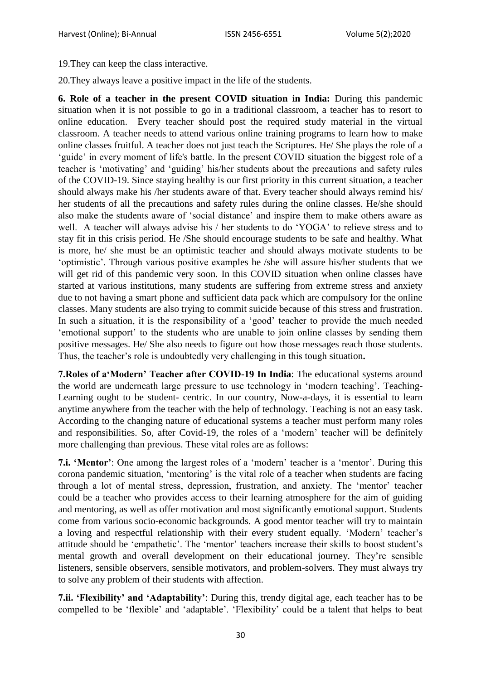19.They can keep the class interactive.

20.They always leave a positive impact in the life of the students.

**6. Role of a teacher in the present COVID situation in India:** During this pandemic situation when it is not possible to go in a traditional classroom, a teacher has to resort to online education. Every teacher should post the required study material in the virtual classroom. A teacher needs to attend various online training programs to learn how to make online classes fruitful. A teacher does not just teach the Scriptures. He/ She plays the role of a 'guide' in every moment of life's battle. In the present COVID situation the biggest role of a teacher is "motivating" and "guiding" his/her students about the precautions and safety rules of the COVID-19. Since staying healthy is our first priority in this current situation, a teacher should always make his /her students aware of that. Every teacher should always remind his/ her students of all the precautions and safety rules during the online classes. He/she should also make the students aware of "social distance" and inspire them to make others aware as well. A teacher will always advise his / her students to do "YOGA" to relieve stress and to stay fit in this crisis period. He /She should encourage students to be safe and healthy. What is more, he/ she must be an optimistic teacher and should always motivate students to be "optimistic". Through various positive examples he /she will assure his/her students that we will get rid of this pandemic very soon. In this COVID situation when online classes have started at various institutions, many students are suffering from extreme stress and anxiety due to not having a smart phone and sufficient data pack which are compulsory for the online classes. Many students are also trying to commit suicide because of this stress and frustration. In such a situation, it is the responsibility of a 'good' teacher to provide the much needed "emotional support" to the students who are unable to join online classes by sending them positive messages. He/ She also needs to figure out how those messages reach those students. Thus, the teacher"s role is undoubtedly very challenging in this tough situation**.**

**7.Roles of a'Modern' Teacher after COVID-19 In India**: The educational systems around the world are underneath large pressure to use technology in "modern teaching". Teaching-Learning ought to be student- centric. In our country, Now-a-days, it is essential to learn anytime anywhere from the teacher with the help of technology. Teaching is not an easy task. According to the changing nature of educational systems a teacher must perform many roles and responsibilities. So, after Covid-19, the roles of a "modern" teacher will be definitely more challenging than previous. These vital roles are as follows:

**7.i. 'Mentor':** One among the largest roles of a 'modern' teacher is a 'mentor'. During this corona pandemic situation, "mentoring" is the vital role of a teacher when students are facing through a lot of mental stress, depression, frustration, and anxiety. The "mentor" teacher could be a teacher who provides access to their learning atmosphere for the aim of guiding and mentoring, as well as offer motivation and most significantly emotional support. Students come from various socio-economic backgrounds. A good mentor teacher will try to maintain a loving and respectful relationship with their every student equally. "Modern" teacher"s attitude should be 'empathetic'. The 'mentor' teachers increase their skills to boost student's mental growth and overall development on their educational journey. They"re sensible listeners, sensible observers, sensible motivators, and problem-solvers. They must always try to solve any problem of their students with affection.

**7.ii. 'Flexibility' and 'Adaptability'**: During this, trendy digital age, each teacher has to be compelled to be "flexible" and "adaptable". "Flexibility" could be a talent that helps to beat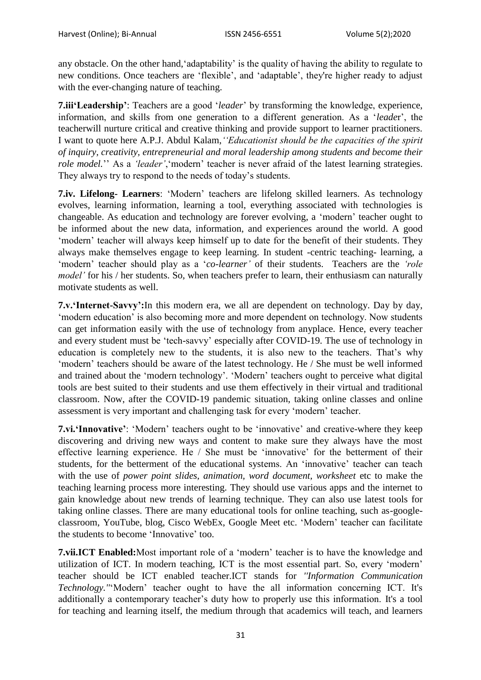any obstacle. On the other hand, 'adaptability' is the quality of having the ability to regulate to new conditions. Once teachers are "flexible", and "adaptable", they're higher ready to adjust with the ever-changing nature of teaching.

**7.iii'Leadership'**: Teachers are a good "*leader*" by transforming the knowledge, experience, information, and skills from one generation to a different generation. As a "*leade*r", the teacherwill nurture critical and creative thinking and provide support to learner practitioners. I want to quote here A.P.J. Abdul Kalam,*''Educationist should be the capacities of the spirit of inquiry, creativity, entrepreneurial and moral leadership among students and become their role model.*" As a *'leader'*, 'modern' teacher is never afraid of the latest learning strategies. They always try to respond to the needs of today's students.

**7.iv. Lifelong- Learners**: "Modern" teachers are lifelong skilled learners. As technology evolves, learning information, learning a tool, everything associated with technologies is changeable. As education and technology are forever evolving, a "modern" teacher ought to be informed about the new data, information, and experiences around the world. A good "modern" teacher will always keep himself up to date for the benefit of their students. They always make themselves engage to keep learning. In student -centric teaching- learning, a 'modern' teacher should play as a '*co-learner*' of their students. Teachers are the 'role *model'* for his / her students. So, when teachers prefer to learn, their enthusiasm can naturally motivate students as well.

**7.v.'Internet-Savvy':**In this modern era, we all are dependent on technology. Day by day, "modern education" is also becoming more and more dependent on technology. Now students can get information easily with the use of technology from anyplace. Hence, every teacher and every student must be "tech-savvy" especially after COVID-19. The use of technology in education is completely new to the students, it is also new to the teachers. That's why "modern" teachers should be aware of the latest technology. He / She must be well informed and trained about the "modern technology". "Modern" teachers ought to perceive what digital tools are best suited to their students and use them effectively in their virtual and traditional classroom. Now, after the COVID-19 pandemic situation, taking online classes and online assessment is very important and challenging task for every "modern" teacher.

**7.vi. Innovative**': 'Modern' teachers ought to be 'innovative' and creative-where they keep discovering and driving new ways and content to make sure they always have the most effective learning experience. He / She must be "innovative" for the betterment of their students, for the betterment of the educational systems. An 'innovative' teacher can teach with the use of *power point slides, animation, word document, worksheet* etc to make the teaching learning process more interesting. They should use various apps and the internet to gain knowledge about new trends of learning technique. They can also use latest tools for taking online classes. There are many educational tools for online teaching, such as-googleclassroom, YouTube, blog, Cisco WebEx, Google Meet etc. "Modern" teacher can facilitate the students to become "Innovative" too.

**7.vii.ICT Enabled:**Most important role of a "modern" teacher is to have the knowledge and utilization of ICT. In modern teaching, ICT is the most essential part. So, every "modern" teacher should be ICT enabled teacher.ICT stands for *''Information Communication Technology.''*"Modern" teacher ought to have the all information concerning ICT. It's additionally a contemporary teacher's duty how to properly use this information. It's a tool for teaching and learning itself, the medium through that academics will teach, and learners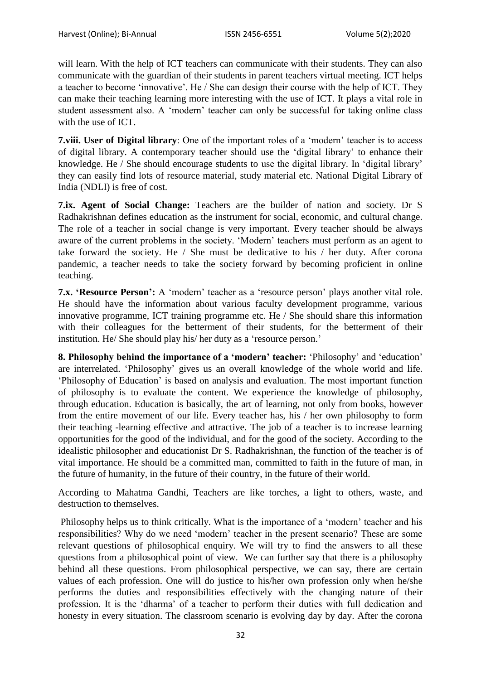will learn. With the help of ICT teachers can communicate with their students. They can also communicate with the guardian of their students in parent teachers virtual meeting. ICT helps a teacher to become "innovative". He / She can design their course with the help of ICT. They can make their teaching learning more interesting with the use of ICT. It plays a vital role in student assessment also. A "modern" teacher can only be successful for taking online class with the use of ICT.

**7.viii. User of Digital library**: One of the important roles of a "modern" teacher is to access of digital library. A contemporary teacher should use the "digital library" to enhance their knowledge. He / She should encourage students to use the digital library. In "digital library" they can easily find lots of resource material, study material etc. National Digital Library of India (NDLI) is free of cost.

**7.ix. Agent of Social Change:** Teachers are the builder of nation and society. Dr S Radhakrishnan defines education as the instrument for social, economic, and cultural change. The role of a teacher in social change is very important. Every teacher should be always aware of the current problems in the society. "Modern" teachers must perform as an agent to take forward the society. He / She must be dedicative to his / her duty. After corona pandemic, a teacher needs to take the society forward by becoming proficient in online teaching.

**7.x. 'Resource Person':** A "modern" teacher as a "resource person" plays another vital role. He should have the information about various faculty development programme, various innovative programme, ICT training programme etc. He / She should share this information with their colleagues for the betterment of their students, for the betterment of their institution. He/ She should play his/ her duty as a 'resource person.'

**8. Philosophy behind the importance of a 'modern' teacher:** "Philosophy" and "education" are interrelated. "Philosophy" gives us an overall knowledge of the whole world and life. "Philosophy of Education" is based on analysis and evaluation. The most important function of philosophy is to evaluate the content. We experience the knowledge of philosophy, through education. Education is basically, the art of learning, not only from books, however from the entire movement of our life. Every teacher has, his / her own philosophy to form their teaching -learning effective and attractive. The job of a teacher is to increase learning opportunities for the good of the individual, and for the good of the society. According to the idealistic philosopher and educationist Dr S. Radhakrishnan, the function of the teacher is of vital importance. He should be a committed man, committed to faith in the future of man, in the future of humanity, in the future of their country, in the future of their world.

According to Mahatma Gandhi, Teachers are like torches, a light to others, waste, and destruction to themselves.

Philosophy helps us to think critically. What is the importance of a "modern" teacher and his responsibilities? Why do we need "modern" teacher in the present scenario? These are some relevant questions of philosophical enquiry. We will try to find the answers to all these questions from a philosophical point of view. We can further say that there is a philosophy behind all these questions. From philosophical perspective, we can say, there are certain values of each profession. One will do justice to his/her own profession only when he/she performs the duties and responsibilities effectively with the changing nature of their profession. It is the "dharma" of a teacher to perform their duties with full dedication and honesty in every situation. The classroom scenario is evolving day by day. After the corona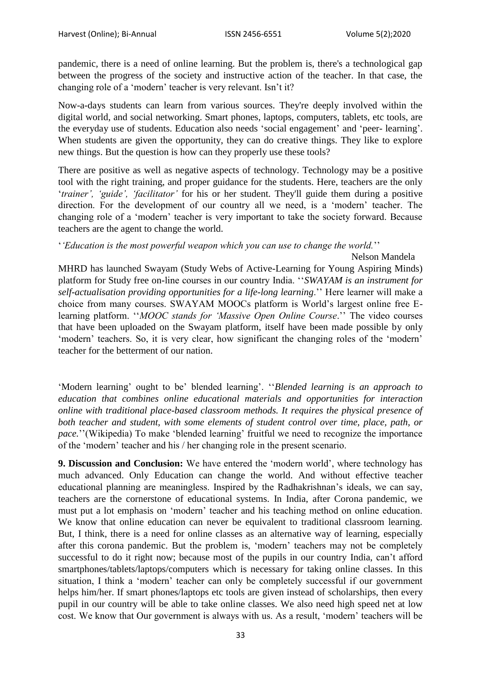pandemic, there is a need of online learning. But the problem is, there's a technological gap between the progress of the society and instructive action of the teacher. In that case, the changing role of a 'modern' teacher is very relevant. Isn't it?

Now-a-days students can learn from various sources. They're deeply involved within the digital world, and social networking. Smart phones, laptops, computers, tablets, etc tools, are the everyday use of students. Education also needs 'social engagement' and 'peer- learning'. When students are given the opportunity, they can do creative things. They like to explore new things. But the question is how can they properly use these tools?

There are positive as well as negative aspects of technology. Technology may be a positive tool with the right training, and proper guidance for the students. Here, teachers are the only "*trainer', 'guide', 'facilitator'* for his or her student. They'll guide them during a positive direction. For the development of our country all we need, is a "modern" teacher. The changing role of a "modern" teacher is very important to take the society forward. Because teachers are the agent to change the world.

"*'Education is the most powerful weapon which you can use to change the world.*""

Nelson Mandela

MHRD has launched Swayam (Study Webs of Active-Learning for Young Aspiring Minds) platform for Study free on-line courses in our country India. ""*SWAYAM is an instrument for self-actualisation providing opportunities for a life-long learning*."" Here learner will make a choice from many courses. SWAYAM MOOCs platform is World"s largest online free Elearning platform. "*MOOC stands for 'Massive Open Online Course*." The video courses that have been uploaded on the Swayam platform, itself have been made possible by only "modern" teachers. So, it is very clear, how significant the changing roles of the "modern" teacher for the betterment of our nation.

"Modern learning" ought to be" blended learning". ""*Blended learning is an approach to education that combines online educational materials and opportunities for interaction online with traditional place-based classroom methods. It requires the physical presence of both teacher and student, with some elements of student control over time, place, path, or pace.*" (Wikipedia) To make 'blended learning' fruitful we need to recognize the importance of the "modern" teacher and his / her changing role in the present scenario.

**9. Discussion and Conclusion:** We have entered the "modern world", where technology has much advanced. Only Education can change the world. And without effective teacher educational planning are meaningless. Inspired by the Radhakrishnan"s ideals, we can say, teachers are the cornerstone of educational systems. In India, after Corona pandemic, we must put a lot emphasis on "modern" teacher and his teaching method on online education. We know that online education can never be equivalent to traditional classroom learning. But, I think, there is a need for online classes as an alternative way of learning, especially after this corona pandemic. But the problem is, "modern" teachers may not be completely successful to do it right now; because most of the pupils in our country India, can't afford smartphones/tablets/laptops/computers which is necessary for taking online classes. In this situation, I think a "modern" teacher can only be completely successful if our government helps him/her. If smart phones/laptops etc tools are given instead of scholarships, then every pupil in our country will be able to take online classes. We also need high speed net at low cost. We know that Our government is always with us. As a result, "modern" teachers will be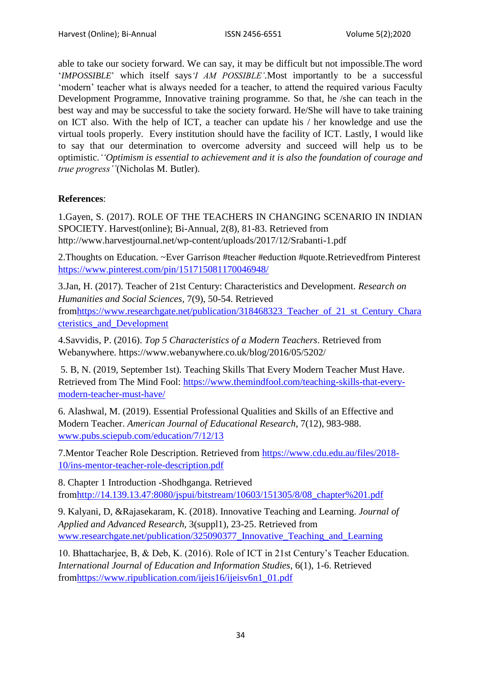able to take our society forward. We can say, it may be difficult but not impossible.The word "*IMPOSSIBLE*" which itself says*'I AM POSSIBLE'.*Most importantly to be a successful "modern" teacher what is always needed for a teacher, to attend the required various Faculty Development Programme, Innovative training programme. So that, he /she can teach in the best way and may be successful to take the society forward. He/She will have to take training on ICT also. With the help of ICT, a teacher can update his / her knowledge and use the virtual tools properly. Every institution should have the facility of ICT. Lastly, I would like to say that our determination to overcome adversity and succeed will help us to be optimistic.*''Optimism is essential to achievement and it is also the foundation of courage and true progress''*(Nicholas M. Butler).

# **References**:

1.Gayen, S. (2017). ROLE OF THE TEACHERS IN CHANGING SCENARIO IN INDIAN SPOCIETY. Harvest(online); Bi-Annual, 2(8), 81-83. Retrieved from http://www.harvestjournal.net/wp-content/uploads/2017/12/Srabanti-1.pdf

2.Thoughts on Education. ~Ever Garrison #teacher #eduction #quote.Retrievedfrom Pinterest <https://www.pinterest.com/pin/151715081170046948/>

3.Jan, H. (2017). Teacher of 21st Century: Characteristics and Development. *Research on Humanities and Social Sciences,* 7(9), 50-54. Retrieved fro[mhttps://www.researchgate.net/publication/318468323\\_Teacher\\_of\\_21\\_st\\_Century\\_Chara](https://www.researchgate.net/publication/318468323_Teacher_of_21_st_Century_Characteristics_and_Development) [cteristics\\_and\\_Development](https://www.researchgate.net/publication/318468323_Teacher_of_21_st_Century_Characteristics_and_Development)

4.Savvidis, P. (2016). *Top 5 Characteristics of a Modern Teachers*. Retrieved from Webanywhere. https://www.webanywhere.co.uk/blog/2016/05/5202/

5. B, N. (2019, September 1st). Teaching Skills That Every Modern Teacher Must Have. Retrieved from The Mind Fool: [https://www.themindfool.com/teaching-skills-that-every](https://www.themindfool.com/teaching-skills-that-every-modern-teacher-must-have/)[modern-teacher-must-have/](https://www.themindfool.com/teaching-skills-that-every-modern-teacher-must-have/)

6. Alashwal, M. (2019). Essential Professional Qualities and Skills of an Effective and Modern Teacher. *American Journal of Educational Research*, 7(12), 983-988. [www.pubs.sciepub.com/education/7/12/13](http://www.pubs.sciepub.com/education/7/12/13)

7.Mentor Teacher Role Description. Retrieved from [https://www.cdu.edu.au/files/2018-](https://www.cdu.edu.au/files/2018-10/ins-mentor-teacher-role-description.pdf) [10/ins-mentor-teacher-role-description.pdf](https://www.cdu.edu.au/files/2018-10/ins-mentor-teacher-role-description.pdf)

8. Chapter 1 Introduction -Shodhganga. Retrieved fro[mhttp://14.139.13.47:8080/jspui/bitstream/10603/151305/8/08\\_chapter%201.pdf](http://14.139.13.47:8080/jspui/bitstream/10603/151305/8/08_chapter%201.pdf)

9. Kalyani, D, &Rajasekaram, K. (2018). Innovative Teaching and Learning. *Journal of Applied and Advanced Research,* 3(suppl1), 23-25. Retrieved from [www.researchgate.net/publication/325090377\\_Innovative\\_Teaching\\_and\\_Learning](http://www.researchgate.net/publication/325090377_Innovative_Teaching_and_Learning)

10. Bhattacharjee, B, & Deb, K. (2016). Role of ICT in 21st Century"s Teacher Education. *International Journal of Education and Information Studies*, 6(1), 1-6. Retrieved fro[mhttps://www.ripublication.com/ijeis16/ijeisv6n1\\_01.pdf](https://www.ripublication.com/ijeis16/ijeisv6n1_01.pdf)